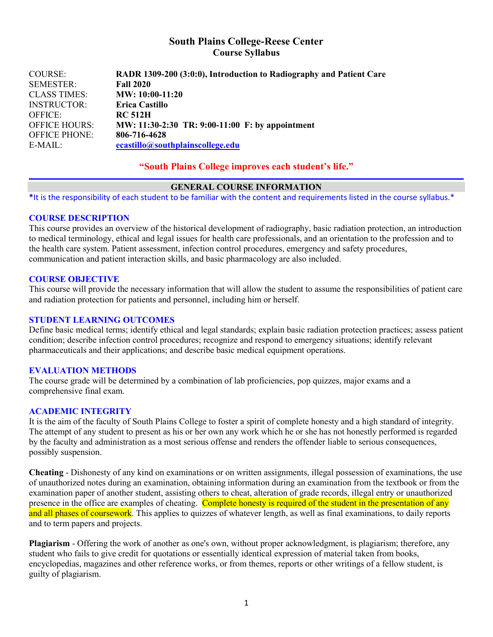# **South Plains College-Reese Center Course Syllabus**

| COURSE:              | RADR 1309-200 (3:0:0), Introduction to Radiography and Patient Care |
|----------------------|---------------------------------------------------------------------|
| <b>SEMESTER:</b>     | <b>Fall 2020</b>                                                    |
| <b>CLASS TIMES:</b>  | MW: 10:00-11:20                                                     |
| <b>INSTRUCTOR:</b>   | <b>Erica Castillo</b>                                               |
| OFFICE:              | <b>RC 512H</b>                                                      |
| <b>OFFICE HOURS:</b> | MW: 11:30-2:30 TR: 9:00-11:00 F: by appointment                     |
| <b>OFFICE PHONE:</b> | 806-716-4628                                                        |
| $E-MAIL:$            | ecastillo@southplainscollege.edu                                    |

### **"South Plains College improves each student's life."**

### **GENERAL COURSE INFORMATION**

**\***It is the responsibility of each student to be familiar with the content and requirements listed in the course syllabus.\*

#### **COURSE DESCRIPTION**

This course provides an overview of the historical development of radiography, basic radiation protection, an introduction to medical terminology, ethical and legal issues for health care professionals, and an orientation to the profession and to the health care system. Patient assessment, infection control procedures, emergency and safety procedures, communication and patient interaction skills, and basic pharmacology are also included.

#### **COURSE OBJECTIVE**

This course will provide the necessary information that will allow the student to assume the responsibilities of patient care and radiation protection for patients and personnel, including him or herself.

#### **STUDENT LEARNING OUTCOMES**

Define basic medical terms; identify ethical and legal standards; explain basic radiation protection practices; assess patient condition; describe infection control procedures; recognize and respond to emergency situations; identify relevant pharmaceuticals and their applications; and describe basic medical equipment operations.

#### **EVALUATION METHODS**

The course grade will be determined by a combination of lab proficiencies, pop quizzes, major exams and a comprehensive final exam.

### **ACADEMIC INTEGRITY**

It is the aim of the faculty of South Plains College to foster a spirit of complete honesty and a high standard of integrity. The attempt of any student to present as his or her own any work which he or she has not honestly performed is regarded by the faculty and administration as a most serious offense and renders the offender liable to serious consequences, possibly suspension.

**Cheating** - Dishonesty of any kind on examinations or on written assignments, illegal possession of examinations, the use of unauthorized notes during an examination, obtaining information during an examination from the textbook or from the examination paper of another student, assisting others to cheat, alteration of grade records, illegal entry or unauthorized presence in the office are examples of cheating. Complete honesty is required of the student in the presentation of any and all phases of coursework. This applies to quizzes of whatever length, as well as final examinations, to daily reports and to term papers and projects.

**Plagiarism** - Offering the work of another as one's own, without proper acknowledgment, is plagiarism; therefore, any student who fails to give credit for quotations or essentially identical expression of material taken from books, encyclopedias, magazines and other reference works, or from themes, reports or other writings of a fellow student, is guilty of plagiarism.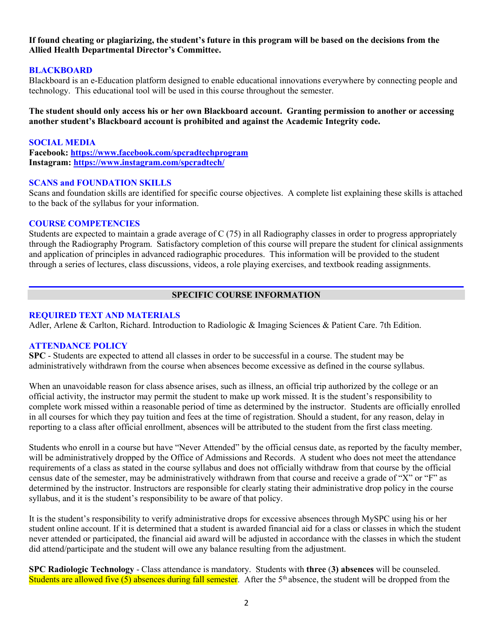### **If found cheating or plagiarizing, the student's future in this program will be based on the decisions from the Allied Health Departmental Director's Committee.**

### **BLACKBOARD**

Blackboard is an e-Education platform designed to enable educational innovations everywhere by connecting people and technology. This educational tool will be used in this course throughout the semester.

**The student should only access his or her own Blackboard account. Granting permission to another or accessing another student's Blackboard account is prohibited and against the Academic Integrity code.**

### **SOCIAL MEDIA**

**Facebook: <https://www.facebook.com/spcradtechprogram> Instagram:<https://www.instagram.com/spcradtech/>**

### **SCANS and FOUNDATION SKILLS**

Scans and foundation skills are identified for specific course objectives. A complete list explaining these skills is attached to the back of the syllabus for your information.

#### **COURSE COMPETENCIES**

Students are expected to maintain a grade average of C (75) in all Radiography classes in order to progress appropriately through the Radiography Program. Satisfactory completion of this course will prepare the student for clinical assignments and application of principles in advanced radiographic procedures. This information will be provided to the student through a series of lectures, class discussions, videos, a role playing exercises, and textbook reading assignments.

### **SPECIFIC COURSE INFORMATION**

### **REQUIRED TEXT AND MATERIALS**

Adler, Arlene & Carlton, Richard. Introduction to Radiologic & Imaging Sciences & Patient Care. 7th Edition.

#### **ATTENDANCE POLICY**

**SPC** - Students are expected to attend all classes in order to be successful in a course. The student may be administratively withdrawn from the course when absences become excessive as defined in the course syllabus.

When an unavoidable reason for class absence arises, such as illness, an official trip authorized by the college or an official activity, the instructor may permit the student to make up work missed. It is the student's responsibility to complete work missed within a reasonable period of time as determined by the instructor. Students are officially enrolled in all courses for which they pay tuition and fees at the time of registration. Should a student, for any reason, delay in reporting to a class after official enrollment, absences will be attributed to the student from the first class meeting.

Students who enroll in a course but have "Never Attended" by the official census date, as reported by the faculty member, will be administratively dropped by the Office of Admissions and Records. A student who does not meet the attendance requirements of a class as stated in the course syllabus and does not officially withdraw from that course by the official census date of the semester, may be administratively withdrawn from that course and receive a grade of "X" or "F" as determined by the instructor. Instructors are responsible for clearly stating their administrative drop policy in the course syllabus, and it is the student's responsibility to be aware of that policy.

It is the student's responsibility to verify administrative drops for excessive absences through MySPC using his or her student online account. If it is determined that a student is awarded financial aid for a class or classes in which the student never attended or participated, the financial aid award will be adjusted in accordance with the classes in which the student did attend/participate and the student will owe any balance resulting from the adjustment.

**SPC Radiologic Technology** - Class attendance is mandatory. Students with **three** (**3) absences** will be counseled. Students are allowed five  $(5)$  absences during fall semester. After the  $5<sup>th</sup>$  absence, the student will be dropped from the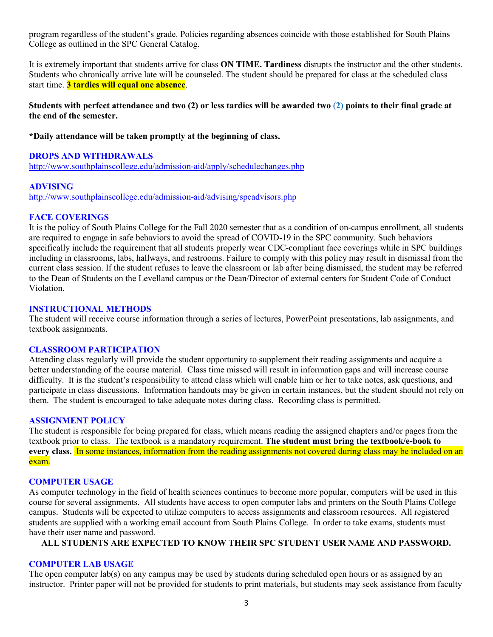program regardless of the student's grade. Policies regarding absences coincide with those established for South Plains College as outlined in the SPC General Catalog.

It is extremely important that students arrive for class **ON TIME. Tardiness** disrupts the instructor and the other students. Students who chronically arrive late will be counseled. The student should be prepared for class at the scheduled class start time. **3 tardies will equal one absence**.

**Students with perfect attendance and two (2) or less tardies will be awarded two (2) points to their final grade at the end of the semester.**

#### **\*Daily attendance will be taken promptly at the beginning of class.**

#### **DROPS AND WITHDRAWALS**

<http://www.southplainscollege.edu/admission-aid/apply/schedulechanges.php>

#### **ADVISING**

<http://www.southplainscollege.edu/admission-aid/advising/spcadvisors.php>

### **FACE COVERINGS**

It is the policy of South Plains College for the Fall 2020 semester that as a condition of on-campus enrollment, all students are required to engage in safe behaviors to avoid the spread of COVID-19 in the SPC community. Such behaviors specifically include the requirement that all students properly wear CDC-compliant face coverings while in SPC buildings including in classrooms, labs, hallways, and restrooms. Failure to comply with this policy may result in dismissal from the current class session. If the student refuses to leave the classroom or lab after being dismissed, the student may be referred to the Dean of Students on the Levelland campus or the Dean/Director of external centers for Student Code of Conduct Violation.

#### **INSTRUCTIONAL METHODS**

The student will receive course information through a series of lectures, PowerPoint presentations, lab assignments, and textbook assignments.

### **CLASSROOM PARTICIPATION**

Attending class regularly will provide the student opportunity to supplement their reading assignments and acquire a better understanding of the course material. Class time missed will result in information gaps and will increase course difficulty. It is the student's responsibility to attend class which will enable him or her to take notes, ask questions, and participate in class discussions. Information handouts may be given in certain instances, but the student should not rely on them. The student is encouraged to take adequate notes during class. Recording class is permitted.

#### **ASSIGNMENT POLICY**

The student is responsible for being prepared for class, which means reading the assigned chapters and/or pages from the textbook prior to class. The textbook is a mandatory requirement. **The student must bring the textbook/e-book to every class.** In some instances, information from the reading assignments not covered during class may be included on an exam.

#### **COMPUTER USAGE**

As computer technology in the field of health sciences continues to become more popular, computers will be used in this course for several assignments. All students have access to open computer labs and printers on the South Plains College campus. Students will be expected to utilize computers to access assignments and classroom resources. All registered students are supplied with a working email account from South Plains College. In order to take exams, students must have their user name and password.

#### **ALL STUDENTS ARE EXPECTED TO KNOW THEIR SPC STUDENT USER NAME AND PASSWORD.**

### **COMPUTER LAB USAGE**

The open computer lab(s) on any campus may be used by students during scheduled open hours or as assigned by an instructor. Printer paper will not be provided for students to print materials, but students may seek assistance from faculty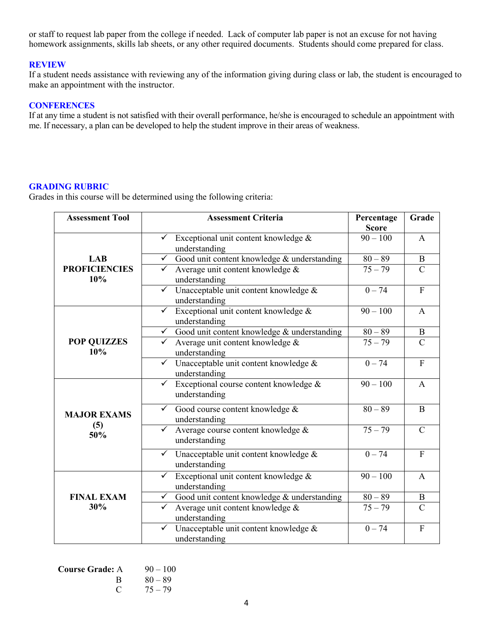or staff to request lab paper from the college if needed. Lack of computer lab paper is not an excuse for not having homework assignments, skills lab sheets, or any other required documents. Students should come prepared for class.

### **REVIEW**

If a student needs assistance with reviewing any of the information giving during class or lab, the student is encouraged to make an appointment with the instructor.

#### **CONFERENCES**

If at any time a student is not satisfied with their overall performance, he/she is encouraged to schedule an appointment with me. If necessary, a plan can be developed to help the student improve in their areas of weakness.

#### **GRADING RUBRIC**

Grades in this course will be determined using the following criteria:

| <b>Assessment Tool</b>           | <b>Assessment Criteria</b>                                              | Percentage<br><b>Score</b> | Grade          |
|----------------------------------|-------------------------------------------------------------------------|----------------------------|----------------|
|                                  | Exceptional unit content knowledge &<br>understanding                   | $90 - 100$                 | A              |
| <b>LAB</b>                       | Good unit content knowledge & understanding<br>$\checkmark$             | $80 - 89$                  | B              |
| <b>PROFICIENCIES</b><br>10%      | Average unit content knowledge &<br>understanding                       | $75 - 79$                  | $\mathcal{C}$  |
|                                  | $\checkmark$ Unacceptable unit content knowledge &<br>understanding     | $0 - 74$                   | $\mathbf F$    |
|                                  | Exceptional unit content knowledge &<br>$\checkmark$<br>understanding   | $90 - 100$                 | A              |
|                                  | Good unit content knowledge & understanding<br>$\checkmark$             | $80-89$                    | $\, {\bf B}$   |
| <b>POP QUIZZES</b><br>10%        | Average unit content knowledge &<br>$\checkmark$<br>understanding       | $75 - 79$                  | $\mathbf C$    |
|                                  | Unacceptable unit content knowledge &<br>understanding                  | $0 - 74$                   | $\overline{F}$ |
| <b>MAJOR EXAMS</b><br>(5)<br>50% | Exceptional course content knowledge &<br>$\checkmark$<br>understanding | $90 - 100$                 | $\mathsf{A}$   |
|                                  | Good course content knowledge &<br>$\checkmark$<br>understanding        | $80 - 89$                  | B              |
|                                  | Average course content knowledge &<br>understanding                     | $75 - 79$                  | $\overline{C}$ |
|                                  | $\checkmark$ Unacceptable unit content knowledge &<br>understanding     | $0 - 74$                   | ${\bf F}$      |
|                                  | Exceptional unit content knowledge &<br>$\checkmark$<br>understanding   | $90 - 100$                 | $\mathbf{A}$   |
| <b>FINAL EXAM</b><br>30%         | Good unit content knowledge & understanding<br>$\checkmark$             | $80 - 89$                  | $\bf{B}$       |
|                                  | Average unit content knowledge &<br>understanding                       | $75 - 79$                  | $\overline{C}$ |
|                                  | Unacceptable unit content knowledge &<br>$\checkmark$<br>understanding  | $0 - 74$                   | $\overline{F}$ |

| <b>Course Grade: A</b> | $90 - 100$ |
|------------------------|------------|
| R                      | $80 - 89$  |
| C                      | $75 - 79$  |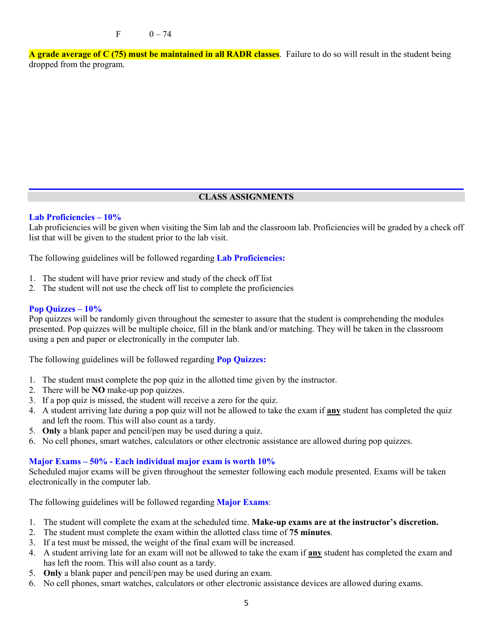$F = 0 - 74$ 

**A grade average of C (75) must be maintained in all RADR classes**. Failure to do so will result in the student being dropped from the program.

# **CLASS ASSIGNMENTS**

### **Lab Proficiencies – 10%**

Lab proficiencies will be given when visiting the Sim lab and the classroom lab. Proficiencies will be graded by a check off list that will be given to the student prior to the lab visit.

The following guidelines will be followed regarding **Lab Proficiencies:**

- 1. The student will have prior review and study of the check off list
- 2. The student will not use the check off list to complete the proficiencies

### **Pop Quizzes – 10%**

Pop quizzes will be randomly given throughout the semester to assure that the student is comprehending the modules presented. Pop quizzes will be multiple choice, fill in the blank and/or matching. They will be taken in the classroom using a pen and paper or electronically in the computer lab.

The following guidelines will be followed regarding **Pop Quizzes:**

- 1. The student must complete the pop quiz in the allotted time given by the instructor.
- 2. There will be **NO** make-up pop quizzes.
- 3. If a pop quiz is missed, the student will receive a zero for the quiz.
- 4. A student arriving late during a pop quiz will not be allowed to take the exam if **any** student has completed the quiz and left the room. This will also count as a tardy.
- 5. **Only** a blank paper and pencil/pen may be used during a quiz.
- 6.No cell phones, smart watches, calculators or other electronic assistance are allowed during pop quizzes.

### **Major Exams – 50% - Each individual major exam is worth 10%**

Scheduled major exams will be given throughout the semester following each module presented. Exams will be taken electronically in the computer lab.

The following guidelines will be followed regarding **Major Exams**:

- 1. The student will complete the exam at the scheduled time. **Make-up exams are at the instructor's discretion.**
- 2. The student must complete the exam within the allotted class time of **75 minutes**.
- 3. If a test must be missed, the weight of the final exam will be increased.
- 4. A student arriving late for an exam will not be allowed to take the exam if **any** student has completed the exam and has left the room. This will also count as a tardy.
- 5. **Only** a blank paper and pencil/pen may be used during an exam.
- 6. No cell phones, smart watches, calculators or other electronic assistance devices are allowed during exams.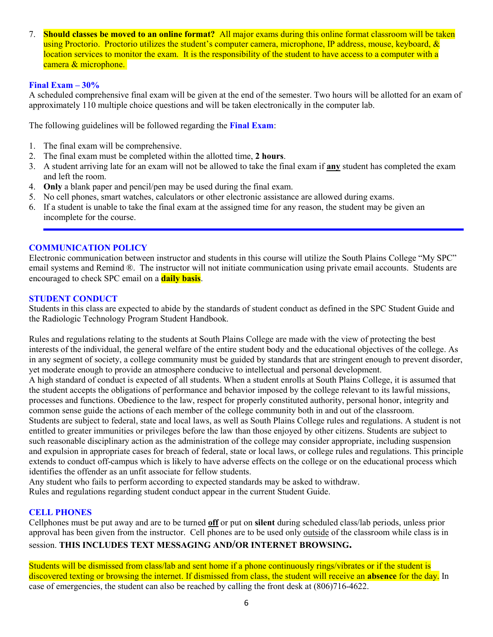7. **Should classes be moved to an online format?** All major exams during this online format classroom will be taken using Proctorio. Proctorio utilizes the student's computer camera, microphone, IP address, mouse, keyboard, & location services to monitor the exam. It is the responsibility of the student to have access to a computer with a camera & microphone.

### **Final Exam – 30%**

A scheduled comprehensive final exam will be given at the end of the semester. Two hours will be allotted for an exam of approximately 110 multiple choice questions and will be taken electronically in the computer lab.

The following guidelines will be followed regarding the **Final Exam**:

- 1. The final exam will be comprehensive.
- 2. The final exam must be completed within the allotted time, **2 hours**.
- 3. A student arriving late for an exam will not be allowed to take the final exam if **any** student has completed the exam and left the room.
- 4. **Only** a blank paper and pencil/pen may be used during the final exam.
- 5. No cell phones, smart watches, calculators or other electronic assistance are allowed during exams.
- 6. If a student is unable to take the final exam at the assigned time for any reason, the student may be given an incomplete for the course.

### **COMMUNICATION POLICY**

Electronic communication between instructor and students in this course will utilize the South Plains College "My SPC" email systems and Remind ®. The instructor will not initiate communication using private email accounts. Students are encouraged to check SPC email on a **daily basis**.

### **STUDENT CONDUCT**

Students in this class are expected to abide by the standards of student conduct as defined in the SPC Student Guide and the Radiologic Technology Program Student Handbook.

Rules and regulations relating to the students at South Plains College are made with the view of protecting the best interests of the individual, the general welfare of the entire student body and the educational objectives of the college. As in any segment of society, a college community must be guided by standards that are stringent enough to prevent disorder, yet moderate enough to provide an atmosphere conducive to intellectual and personal development.

A high standard of conduct is expected of all students. When a student enrolls at South Plains College, it is assumed that the student accepts the obligations of performance and behavior imposed by the college relevant to its lawful missions, processes and functions. Obedience to the law, respect for properly constituted authority, personal honor, integrity and common sense guide the actions of each member of the college community both in and out of the classroom.

Students are subject to federal, state and local laws, as well as South Plains College rules and regulations. A student is not entitled to greater immunities or privileges before the law than those enjoyed by other citizens. Students are subject to such reasonable disciplinary action as the administration of the college may consider appropriate, including suspension and expulsion in appropriate cases for breach of federal, state or local laws, or college rules and regulations. This principle extends to conduct off-campus which is likely to have adverse effects on the college or on the educational process which identifies the offender as an unfit associate for fellow students.

Any student who fails to perform according to expected standards may be asked to withdraw.

Rules and regulations regarding student conduct appear in the current Student Guide.

### **CELL PHONES**

Cellphones must be put away and are to be turned **off** or put on **silent** during scheduled class/lab periods, unless prior approval has been given from the instructor. Cell phones are to be used only outside of the classroom while class is in session. **THIS INCLUDES TEXT MESSAGING AND/OR INTERNET BROWSING.**

Students will be dismissed from class/lab and sent home if a phone continuously rings/vibrates or if the student is discovered texting or browsing the internet. If dismissed from class, the student will receive an **absence** for the day. In case of emergencies, the student can also be reached by calling the front desk at (806)716-4622.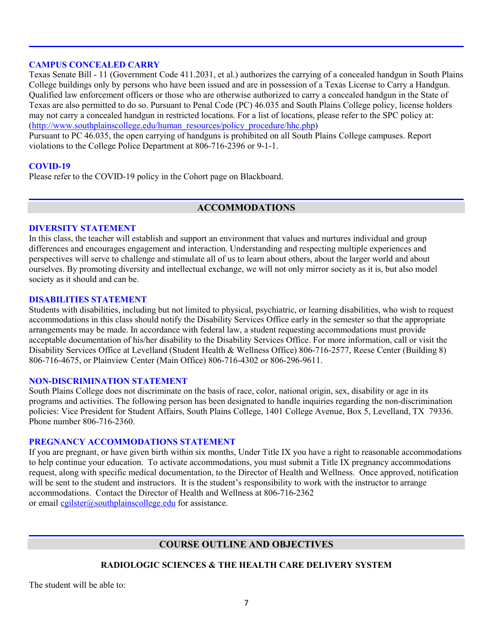### **CAMPUS CONCEALED CARRY**

Texas Senate Bill - 11 (Government Code 411.2031, et al.) authorizes the carrying of a concealed handgun in South Plains College buildings only by persons who have been issued and are in possession of a Texas License to Carry a Handgun. Qualified law enforcement officers or those who are otherwise authorized to carry a concealed handgun in the State of Texas are also permitted to do so. Pursuant to Penal Code (PC) 46.035 and South Plains College policy, license holders may not carry a concealed handgun in restricted locations. For a list of locations, please refer to the SPC policy at: [\(http://www.southplainscollege.edu/human\\_resources/policy\\_procedure/hhc.php\)](http://www.southplainscollege.edu/human_resources/policy_procedure/hhc.php)

Pursuant to PC 46.035, the open carrying of handguns is prohibited on all South Plains College campuses. Report violations to the College Police Department at 806-716-2396 or 9-1-1.

### **COVID-19**

Please refer to the COVID-19 policy in the Cohort page on Blackboard.

# **ACCOMMODATIONS**

### **DIVERSITY STATEMENT**

In this class, the teacher will establish and support an environment that values and nurtures individual and group differences and encourages engagement and interaction. Understanding and respecting multiple experiences and perspectives will serve to challenge and stimulate all of us to learn about others, about the larger world and about ourselves. By promoting diversity and intellectual exchange, we will not only mirror society as it is, but also model society as it should and can be.

#### **DISABILITIES STATEMENT**

Students with disabilities, including but not limited to physical, psychiatric, or learning disabilities, who wish to request accommodations in this class should notify the Disability Services Office early in the semester so that the appropriate arrangements may be made. In accordance with federal law, a student requesting accommodations must provide acceptable documentation of his/her disability to the Disability Services Office. For more information, call or visit the Disability Services Office at Levelland (Student Health & Wellness Office) 806-716-2577, Reese Center (Building 8) 806-716-4675, or Plainview Center (Main Office) 806-716-4302 or 806-296-9611.

### **NON-DISCRIMINATION STATEMENT**

South Plains College does not discriminate on the basis of race, color, national origin, sex, disability or age in its programs and activities. The following person has been designated to handle inquiries regarding the non-discrimination policies: Vice President for Student Affairs, South Plains College, 1401 College Avenue, Box 5, Levelland, TX 79336. Phone number 806-716-2360.

#### **PREGNANCY ACCOMMODATIONS STATEMENT**

If you are pregnant, or have given birth within six months, Under Title IX you have a right to reasonable accommodations to help continue your education. To activate accommodations, you must submit a Title IX pregnancy accommodations request, along with specific medical documentation, to the Director of Health and Wellness. Once approved, notification will be sent to the student and instructors. It is the student's responsibility to work with the instructor to arrange accommodations. Contact the Director of Health and Wellness at 806-716-2362 or email [cgilster@southplainscollege.edu](mailto:cgilster@southplainscollege.edu) for assistance.

# **COURSE OUTLINE AND OBJECTIVES**

### **RADIOLOGIC SCIENCES & THE HEALTH CARE DELIVERY SYSTEM**

The student will be able to: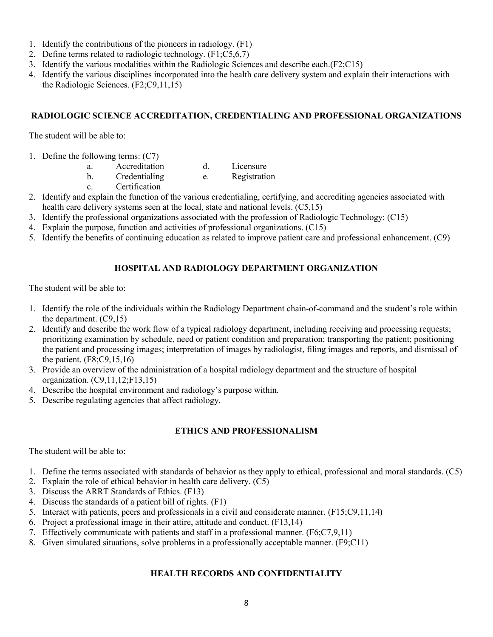- 1. Identify the contributions of the pioneers in radiology. (F1)
- 2. Define terms related to radiologic technology. (F1;C5,6,7)
- 3. Identify the various modalities within the Radiologic Sciences and describe each.(F2;C15)
- 4. Identify the various disciplines incorporated into the health care delivery system and explain their interactions with the Radiologic Sciences. (F2;C9,11,15)

# **RADIOLOGIC SCIENCE ACCREDITATION, CREDENTIALING AND PROFESSIONAL ORGANIZATIONS**

The student will be able to:

- 1. Define the following terms: (C7)
	- a. Accreditation d. Licensure
		-
	- b. Credentialing e. Registration
	- c. Certification
- 2. Identify and explain the function of the various credentialing, certifying, and accrediting agencies associated with health care delivery systems seen at the local, state and national levels. (C5,15)
- 3. Identify the professional organizations associated with the profession of Radiologic Technology: (C15)
- 4. Explain the purpose, function and activities of professional organizations. (C15)
- 5. Identify the benefits of continuing education as related to improve patient care and professional enhancement. (C9)

# **HOSPITAL AND RADIOLOGY DEPARTMENT ORGANIZATION**

The student will be able to:

- 1. Identify the role of the individuals within the Radiology Department chain-of-command and the student's role within the department. (C9,15)
- 2. Identify and describe the work flow of a typical radiology department, including receiving and processing requests; prioritizing examination by schedule, need or patient condition and preparation; transporting the patient; positioning the patient and processing images; interpretation of images by radiologist, filing images and reports, and dismissal of the patient. (F8;C9,15,16)
- 3. Provide an overview of the administration of a hospital radiology department and the structure of hospital organization. (C9,11,12;F13,15)
- 4. Describe the hospital environment and radiology's purpose within.
- 5. Describe regulating agencies that affect radiology.

# **ETHICS AND PROFESSIONALISM**

The student will be able to:

- 1. Define the terms associated with standards of behavior as they apply to ethical, professional and moral standards. (C5)
- 2. Explain the role of ethical behavior in health care delivery. (C5)
- 3. Discuss the ARRT Standards of Ethics. (F13)
- 4. Discuss the standards of a patient bill of rights. (F1)
- 5. Interact with patients, peers and professionals in a civil and considerate manner. (F15;C9,11,14)
- 6. Project a professional image in their attire, attitude and conduct. (F13,14)
- 7. Effectively communicate with patients and staff in a professional manner. (F6;C7,9,11)
- 8. Given simulated situations, solve problems in a professionally acceptable manner. (F9;C11)

# **HEALTH RECORDS AND CONFIDENTIALITY**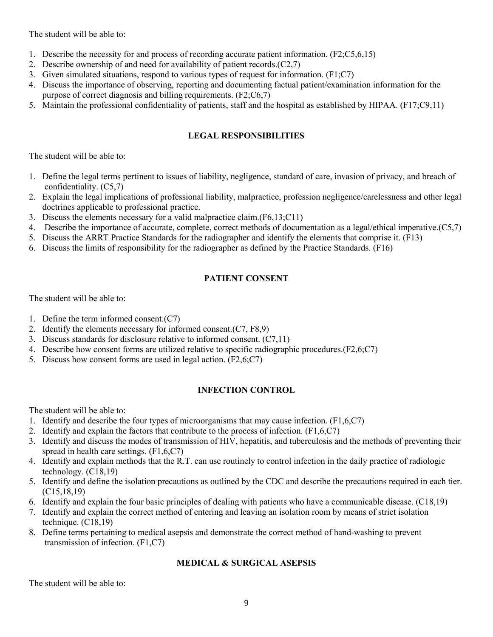The student will be able to:

- 1. Describe the necessity for and process of recording accurate patient information. (F2;C5,6,15)
- 2. Describe ownership of and need for availability of patient records.(C2,7)
- 3. Given simulated situations, respond to various types of request for information. (F1;C7)
- 4. Discuss the importance of observing, reporting and documenting factual patient/examination information for the purpose of correct diagnosis and billing requirements. (F2;C6,7)
- 5. Maintain the professional confidentiality of patients, staff and the hospital as established by HIPAA. (F17;C9,11)

# **LEGAL RESPONSIBILITIES**

The student will be able to:

- 1. Define the legal terms pertinent to issues of liability, negligence, standard of care, invasion of privacy, and breach of confidentiality. (C5,7)
- 2. Explain the legal implications of professional liability, malpractice, profession negligence/carelessness and other legal doctrines applicable to professional practice.
- 3. Discuss the elements necessary for a valid malpractice claim.(F6,13;C11)
- 4. Describe the importance of accurate, complete, correct methods of documentation as a legal/ethical imperative.(C5,7)
- 5. Discuss the ARRT Practice Standards for the radiographer and identify the elements that comprise it. (F13)
- 6. Discuss the limits of responsibility for the radiographer as defined by the Practice Standards. (F16)

# **PATIENT CONSENT**

The student will be able to:

- 1. Define the term informed consent.(C7)
- 2. Identify the elements necessary for informed consent.(C7, F8,9)
- 3. Discuss standards for disclosure relative to informed consent. (C7,11)
- 4. Describe how consent forms are utilized relative to specific radiographic procedures.(F2,6;C7)
- 5. Discuss how consent forms are used in legal action. (F2,6;C7)

# **INFECTION CONTROL**

The student will be able to:

- 1. Identify and describe the four types of microorganisms that may cause infection. (F1,6,C7)
- 2. Identify and explain the factors that contribute to the process of infection. (F1,6,C7)
- 3. Identify and discuss the modes of transmission of HIV, hepatitis, and tuberculosis and the methods of preventing their spread in health care settings. (F1,6,C7)
- 4. Identify and explain methods that the R.T. can use routinely to control infection in the daily practice of radiologic technology. (C18,19)
- 5. Identify and define the isolation precautions as outlined by the CDC and describe the precautions required in each tier. (C15,18,19)
- 6. Identify and explain the four basic principles of dealing with patients who have a communicable disease. (C18,19)
- 7. Identify and explain the correct method of entering and leaving an isolation room by means of strict isolation technique. (C18,19)
- 8. Define terms pertaining to medical asepsis and demonstrate the correct method of hand-washing to prevent transmission of infection. (F1,C7)

# **MEDICAL & SURGICAL ASEPSIS**

The student will be able to: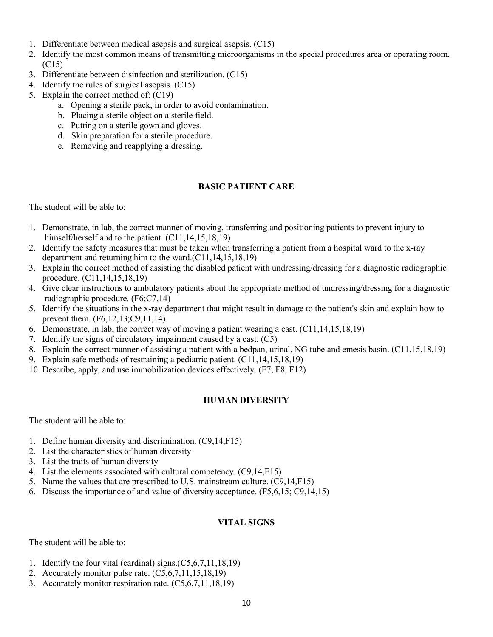- 1. Differentiate between medical asepsis and surgical asepsis. (C15)
- 2. Identify the most common means of transmitting microorganisms in the special procedures area or operating room. (C15)
- 3. Differentiate between disinfection and sterilization. (C15)
- 4. Identify the rules of surgical asepsis. (C15)
- 5. Explain the correct method of: (C19)
	- a. Opening a sterile pack, in order to avoid contamination.
	- b. Placing a sterile object on a sterile field.
	- c. Putting on a sterile gown and gloves.
	- d. Skin preparation for a sterile procedure.
	- e. Removing and reapplying a dressing.

### **BASIC PATIENT CARE**

The student will be able to:

- 1. Demonstrate, in lab, the correct manner of moving, transferring and positioning patients to prevent injury to himself/herself and to the patient. (C11, 14, 15, 18, 19)
- 2. Identify the safety measures that must be taken when transferring a patient from a hospital ward to the x-ray department and returning him to the ward.(C11,14,15,18,19)
- 3. Explain the correct method of assisting the disabled patient with undressing/dressing for a diagnostic radiographic procedure. (C11,14,15,18,19)
- 4. Give clear instructions to ambulatory patients about the appropriate method of undressing/dressing for a diagnostic radiographic procedure. (F6;C7,14)
- 5. Identify the situations in the x-ray department that might result in damage to the patient's skin and explain how to prevent them. (F6,12,13;C9,11,14)
- 6. Demonstrate, in lab, the correct way of moving a patient wearing a cast. (C11,14,15,18,19)
- 7. Identify the signs of circulatory impairment caused by a cast. (C5)
- 8. Explain the correct manner of assisting a patient with a bedpan, urinal, NG tube and emesis basin. (C11,15,18,19)
- 9. Explain safe methods of restraining a pediatric patient. (C11,14,15,18,19)
- 10. Describe, apply, and use immobilization devices effectively. (F7, F8, F12)

### **HUMAN DIVERSITY**

The student will be able to:

- 1. Define human diversity and discrimination. (C9,14,F15)
- 2. List the characteristics of human diversity
- 3. List the traits of human diversity
- 4. List the elements associated with cultural competency. (C9,14,F15)
- 5. Name the values that are prescribed to U.S. mainstream culture. (C9,14,F15)
- 6. Discuss the importance of and value of diversity acceptance. (F5,6,15; C9,14,15)

### **VITAL SIGNS**

The student will be able to:

- 1. Identify the four vital (cardinal) signs.(C5,6,7,11,18,19)
- 2. Accurately monitor pulse rate. (C5,6,7,11,15,18,19)
- 3. Accurately monitor respiration rate. (C5,6,7,11,18,19)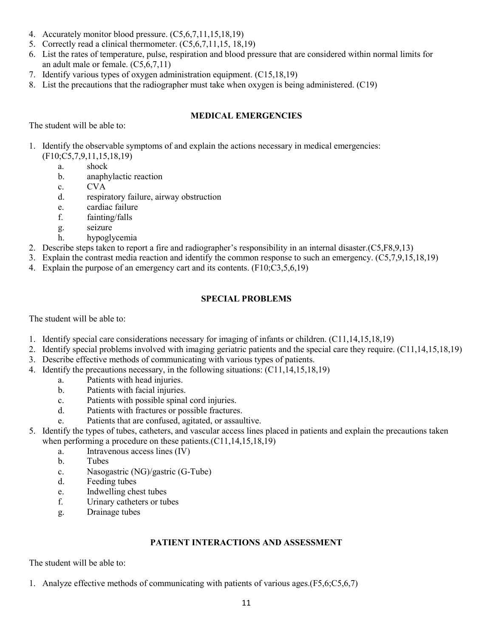- 4. Accurately monitor blood pressure. (C5,6,7,11,15,18,19)
- 5. Correctly read a clinical thermometer. (C5,6,7,11,15, 18,19)
- 6. List the rates of temperature, pulse, respiration and blood pressure that are considered within normal limits for an adult male or female. (C5,6,7,11)
- 7. Identify various types of oxygen administration equipment. (C15,18,19)
- 8. List the precautions that the radiographer must take when oxygen is being administered. (C19)

### **MEDICAL EMERGENCIES**

The student will be able to:

- 1. Identify the observable symptoms of and explain the actions necessary in medical emergencies:
	- (F10;C5,7,9,11,15,18,19)
		- a. shock
		- b. anaphylactic reaction
		- c. CVA
		- d. respiratory failure, airway obstruction
		- e. cardiac failure
		- f. fainting/falls
		- g. seizure
		- h. hypoglycemia
- 2. Describe steps taken to report a fire and radiographer's responsibility in an internal disaster.(C5,F8,9,13)
- 3. Explain the contrast media reaction and identify the common response to such an emergency. (C5,7,9,15,18,19)
- 4. Explain the purpose of an emergency cart and its contents. (F10;C3,5,6,19)

# **SPECIAL PROBLEMS**

The student will be able to:

- 1. Identify special care considerations necessary for imaging of infants or children. (C11,14,15,18,19)
- 2. Identify special problems involved with imaging geriatric patients and the special care they require. (C11,14,15,18,19)
- 3. Describe effective methods of communicating with various types of patients.
- 4. Identify the precautions necessary, in the following situations: (C11,14,15,18,19)
	- a. Patients with head injuries.
	- b. Patients with facial injuries.
	- c. Patients with possible spinal cord injuries.
	- d. Patients with fractures or possible fractures.
	- e. Patients that are confused, agitated, or assaultive.
- 5. Identify the types of tubes, catheters, and vascular access lines placed in patients and explain the precautions taken when performing a procedure on these patients.(C11,14,15,18,19)
	- a. Intravenous access lines (IV)
	- b. Tubes
	- c. Nasogastric (NG)/gastric (G-Tube)
	- d. Feeding tubes
	- e. Indwelling chest tubes
	- f. Urinary catheters or tubes
	- g. Drainage tubes

### **PATIENT INTERACTIONS AND ASSESSMENT**

The student will be able to:

1. Analyze effective methods of communicating with patients of various ages.(F5,6;C5,6,7)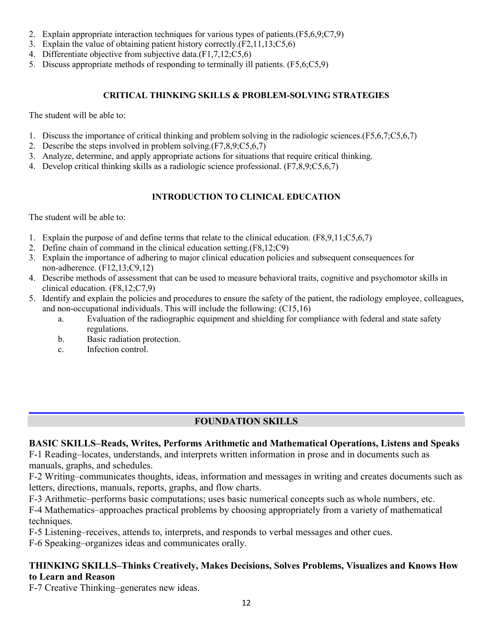- 2. Explain appropriate interaction techniques for various types of patients.(F5,6,9;C7,9)
- 3. Explain the value of obtaining patient history correctly.(F2,11,13;C5,6)
- 4. Differentiate objective from subjective data.(F1,7,12;C5,6)
- 5. Discuss appropriate methods of responding to terminally ill patients. (F5,6;C5,9)

# **CRITICAL THINKING SKILLS & PROBLEM-SOLVING STRATEGIES**

The student will be able to:

- 1. Discuss the importance of critical thinking and problem solving in the radiologic sciences.(F5,6,7;C5,6,7)
- 2. Describe the steps involved in problem solving.(F7,8,9;C5,6,7)
- 3. Analyze, determine, and apply appropriate actions for situations that require critical thinking.
- 4. Develop critical thinking skills as a radiologic science professional. (F7,8,9;C5,6,7)

# **INTRODUCTION TO CLINICAL EDUCATION**

The student will be able to:

- 1. Explain the purpose of and define terms that relate to the clinical education. (F8,9,11;C5,6,7)
- 2. Define chain of command in the clinical education setting.(F8,12;C9)
- 3. Explain the importance of adhering to major clinical education policies and subsequent consequences for non-adherence. (F12,13;C9,12)
- 4. Describe methods of assessment that can be used to measure behavioral traits, cognitive and psychomotor skills in clinical education. (F8,12;C7,9)
- 5. Identify and explain the policies and procedures to ensure the safety of the patient, the radiology employee, colleagues, and non-occupational individuals. This will include the following: (C15,16)
	- a. Evaluation of the radiographic equipment and shielding for compliance with federal and state safety regulations.
	- b. Basic radiation protection.
	- c. Infection control.

# **FOUNDATION SKILLS**

# **BASIC SKILLS–Reads, Writes, Performs Arithmetic and Mathematical Operations, Listens and Speaks**

F-1 Reading–locates, understands, and interprets written information in prose and in documents such as manuals, graphs, and schedules.

F-2 Writing–communicates thoughts, ideas, information and messages in writing and creates documents such as letters, directions, manuals, reports, graphs, and flow charts.

F-3 Arithmetic–performs basic computations; uses basic numerical concepts such as whole numbers, etc.

F-4 Mathematics–approaches practical problems by choosing appropriately from a variety of mathematical techniques.

F-5 Listening–receives, attends to, interprets, and responds to verbal messages and other cues.

F-6 Speaking–organizes ideas and communicates orally.

# **THINKING SKILLS–Thinks Creatively, Makes Decisions, Solves Problems, Visualizes and Knows How to Learn and Reason**

F-7 Creative Thinking–generates new ideas.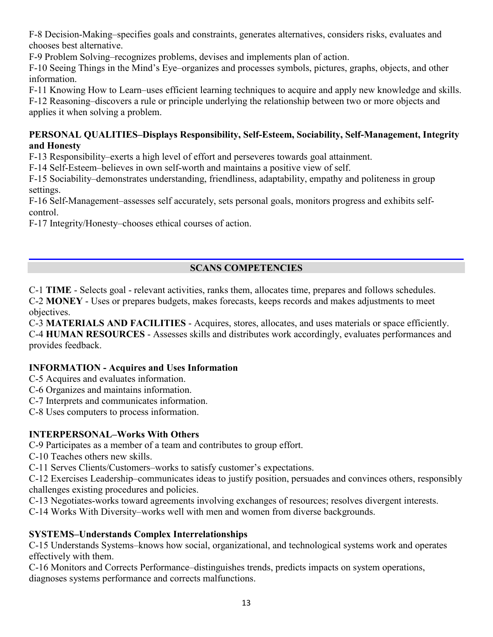F-8 Decision-Making–specifies goals and constraints, generates alternatives, considers risks, evaluates and chooses best alternative.

F-9 Problem Solving–recognizes problems, devises and implements plan of action.

F-10 Seeing Things in the Mind's Eye–organizes and processes symbols, pictures, graphs, objects, and other information.

F-11 Knowing How to Learn–uses efficient learning techniques to acquire and apply new knowledge and skills.

F-12 Reasoning–discovers a rule or principle underlying the relationship between two or more objects and applies it when solving a problem.

# **PERSONAL QUALITIES–Displays Responsibility, Self-Esteem, Sociability, Self-Management, Integrity and Honesty**

F-13 Responsibility–exerts a high level of effort and perseveres towards goal attainment.

F-14 Self-Esteem–believes in own self-worth and maintains a positive view of self.

F-15 Sociability–demonstrates understanding, friendliness, adaptability, empathy and politeness in group settings.

F-16 Self-Management–assesses self accurately, sets personal goals, monitors progress and exhibits selfcontrol.

F-17 Integrity/Honesty–chooses ethical courses of action.

# **SCANS COMPETENCIES**

C-1 **TIME** - Selects goal - relevant activities, ranks them, allocates time, prepares and follows schedules. C-2 **MONEY** - Uses or prepares budgets, makes forecasts, keeps records and makes adjustments to meet objectives.

C-3 **MATERIALS AND FACILITIES** - Acquires, stores, allocates, and uses materials or space efficiently. C-4 **HUMAN RESOURCES** - Assesses skills and distributes work accordingly, evaluates performances and provides feedback.

# **INFORMATION - Acquires and Uses Information**

C-5 Acquires and evaluates information.

- C-6 Organizes and maintains information.
- C-7 Interprets and communicates information.

C-8 Uses computers to process information.

# **INTERPERSONAL–Works With Others**

C-9 Participates as a member of a team and contributes to group effort.

C-10 Teaches others new skills.

C-11 Serves Clients/Customers–works to satisfy customer's expectations.

C-12 Exercises Leadership–communicates ideas to justify position, persuades and convinces others, responsibly challenges existing procedures and policies.

C-13 Negotiates-works toward agreements involving exchanges of resources; resolves divergent interests.

C-14 Works With Diversity–works well with men and women from diverse backgrounds.

# **SYSTEMS–Understands Complex Interrelationships**

C-15 Understands Systems–knows how social, organizational, and technological systems work and operates effectively with them.

C-16 Monitors and Corrects Performance–distinguishes trends, predicts impacts on system operations, diagnoses systems performance and corrects malfunctions.